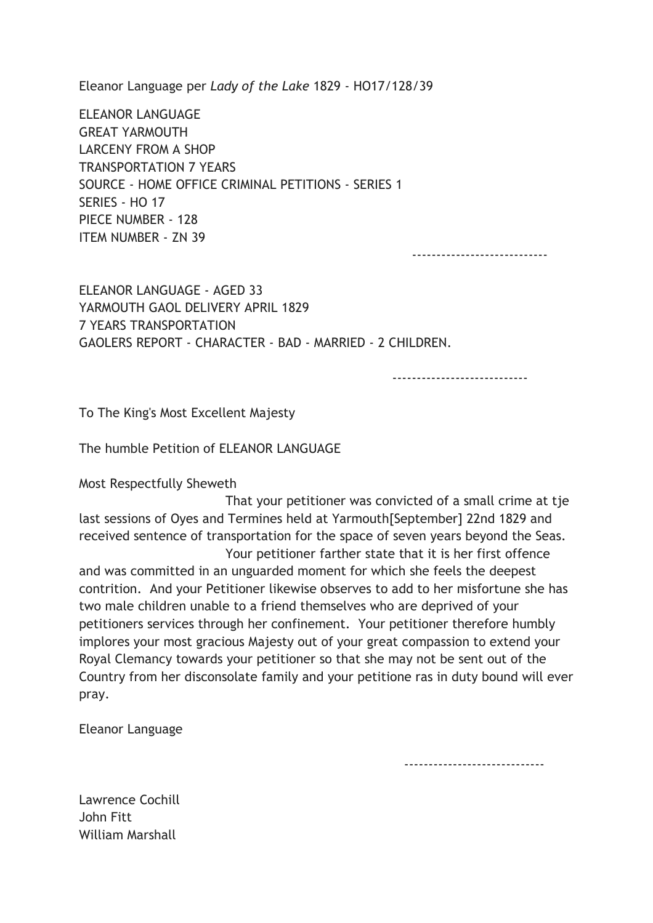Eleanor Language per Lady of the Lake 1829 - HO17/128/39

ELEANOR LANGUAGE GREAT YARMOUTH LARCENY FROM A SHOP TRANSPORTATION 7 YEARS SOURCE - HOME OFFICE CRIMINAL PETITIONS - SERIES 1 SERIES - HO 17 PIECE NUMBER - 128 ITEM NUMBER - ZN 39

----------------------------

ELEANOR LANGUAGE - AGED 33 YARMOUTH GAOL DELIVERY APRIL 1829 7 YEARS TRANSPORTATION GAOLERS REPORT - CHARACTER - BAD - MARRIED - 2 CHILDREN.

----------------------------

To The King's Most Excellent Majesty

The humble Petition of ELEANOR LANGUAGE

Most Respectfully Sheweth

 That your petitioner was convicted of a small crime at tje last sessions of Oyes and Termines held at Yarmouth[September] 22nd 1829 and received sentence of transportation for the space of seven years beyond the Seas. Your petitioner farther state that it is her first offence

and was committed in an unguarded moment for which she feels the deepest contrition. And your Petitioner likewise observes to add to her misfortune she has two male children unable to a friend themselves who are deprived of your petitioners services through her confinement. Your petitioner therefore humbly implores your most gracious Majesty out of your great compassion to extend your Royal Clemancy towards your petitioner so that she may not be sent out of the Country from her disconsolate family and your petitione ras in duty bound will ever pray.

Eleanor Language

-----------------------------

Lawrence Cochill John Fitt William Marshall